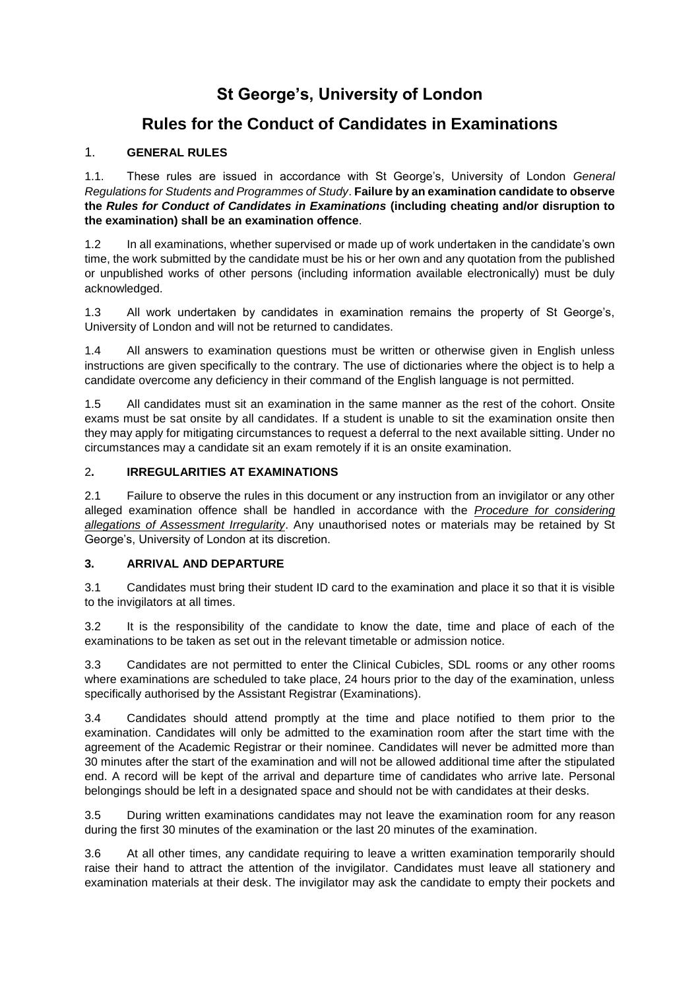# **St George's, University of London**

# **Rules for the Conduct of Candidates in Examinations**

### 1. **GENERAL RULES**

1.1. These rules are issued in accordance with St George's, University of London *General Regulations for Students and Programmes of Study*. **Failure by an examination candidate to observe the** *Rules for Conduct of Candidates in Examinations* **(including cheating and/or disruption to the examination) shall be an examination offence**.

1.2 In all examinations, whether supervised or made up of work undertaken in the candidate's own time, the work submitted by the candidate must be his or her own and any quotation from the published or unpublished works of other persons (including information available electronically) must be duly acknowledged.

1.3 All work undertaken by candidates in examination remains the property of St George's, University of London and will not be returned to candidates.

1.4 All answers to examination questions must be written or otherwise given in English unless instructions are given specifically to the contrary. The use of dictionaries where the object is to help a candidate overcome any deficiency in their command of the English language is not permitted.

1.5 All candidates must sit an examination in the same manner as the rest of the cohort. Onsite exams must be sat onsite by all candidates. If a student is unable to sit the examination onsite then they may apply for mitigating circumstances to request a deferral to the next available sitting. Under no circumstances may a candidate sit an exam remotely if it is an onsite examination.

### 2**. IRREGULARITIES AT EXAMINATIONS**

2.1 Failure to observe the rules in this document or any instruction from an invigilator or any other alleged examination offence shall be handled in accordance with the *Procedure for considering allegations of Assessment Irregularity*. Any unauthorised notes or materials may be retained by St George's, University of London at its discretion.

#### **3. ARRIVAL AND DEPARTURE**

3.1 Candidates must bring their student ID card to the examination and place it so that it is visible to the invigilators at all times.

3.2 It is the responsibility of the candidate to know the date, time and place of each of the examinations to be taken as set out in the relevant timetable or admission notice.

3.3 Candidates are not permitted to enter the Clinical Cubicles, SDL rooms or any other rooms where examinations are scheduled to take place, 24 hours prior to the day of the examination, unless specifically authorised by the Assistant Registrar (Examinations).

3.4 Candidates should attend promptly at the time and place notified to them prior to the examination. Candidates will only be admitted to the examination room after the start time with the agreement of the Academic Registrar or their nominee. Candidates will never be admitted more than 30 minutes after the start of the examination and will not be allowed additional time after the stipulated end. A record will be kept of the arrival and departure time of candidates who arrive late. Personal belongings should be left in a designated space and should not be with candidates at their desks.

3.5 During written examinations candidates may not leave the examination room for any reason during the first 30 minutes of the examination or the last 20 minutes of the examination.

3.6 At all other times, any candidate requiring to leave a written examination temporarily should raise their hand to attract the attention of the invigilator. Candidates must leave all stationery and examination materials at their desk. The invigilator may ask the candidate to empty their pockets and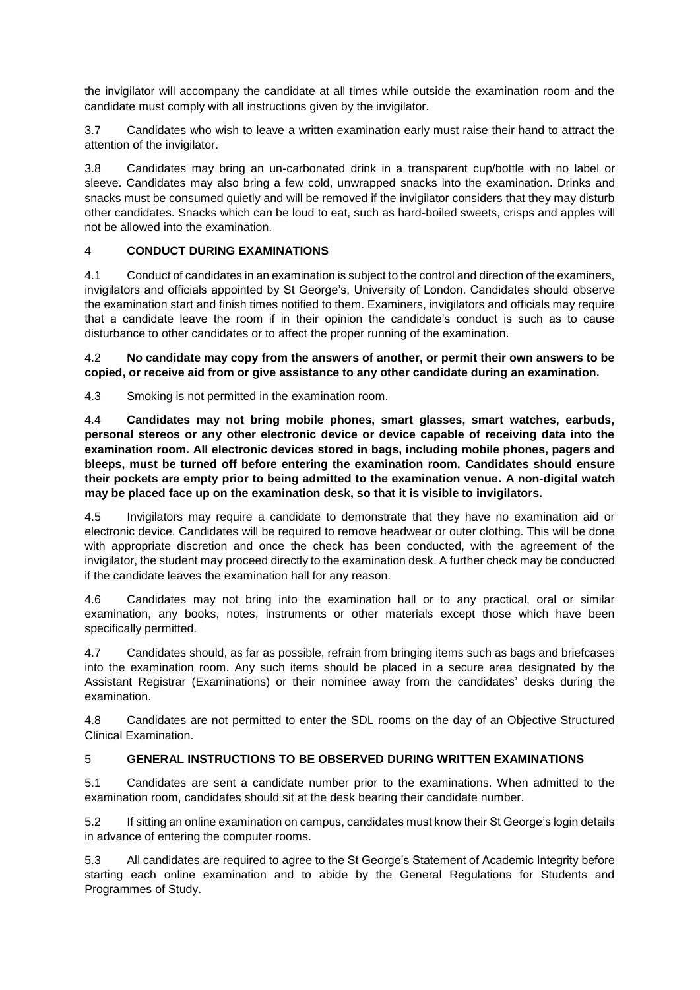the invigilator will accompany the candidate at all times while outside the examination room and the candidate must comply with all instructions given by the invigilator.

3.7 Candidates who wish to leave a written examination early must raise their hand to attract the attention of the invigilator.

3.8 Candidates may bring an un-carbonated drink in a transparent cup/bottle with no label or sleeve. Candidates may also bring a few cold, unwrapped snacks into the examination. Drinks and snacks must be consumed quietly and will be removed if the invigilator considers that they may disturb other candidates. Snacks which can be loud to eat, such as hard-boiled sweets, crisps and apples will not be allowed into the examination.

### 4 **CONDUCT DURING EXAMINATIONS**

4.1 Conduct of candidates in an examination is subject to the control and direction of the examiners, invigilators and officials appointed by St George's, University of London. Candidates should observe the examination start and finish times notified to them. Examiners, invigilators and officials may require that a candidate leave the room if in their opinion the candidate's conduct is such as to cause disturbance to other candidates or to affect the proper running of the examination.

4.2 **No candidate may copy from the answers of another, or permit their own answers to be copied, or receive aid from or give assistance to any other candidate during an examination.**

4.3 Smoking is not permitted in the examination room.

4.4 **Candidates may not bring mobile phones, smart glasses, smart watches, earbuds, personal stereos or any other electronic device or device capable of receiving data into the examination room. All electronic devices stored in bags, including mobile phones, pagers and bleeps, must be turned off before entering the examination room. Candidates should ensure their pockets are empty prior to being admitted to the examination venue. A non-digital watch may be placed face up on the examination desk, so that it is visible to invigilators.**

4.5 Invigilators may require a candidate to demonstrate that they have no examination aid or electronic device. Candidates will be required to remove headwear or outer clothing. This will be done with appropriate discretion and once the check has been conducted, with the agreement of the invigilator, the student may proceed directly to the examination desk. A further check may be conducted if the candidate leaves the examination hall for any reason.

4.6 Candidates may not bring into the examination hall or to any practical, oral or similar examination, any books, notes, instruments or other materials except those which have been specifically permitted.

4.7 Candidates should, as far as possible, refrain from bringing items such as bags and briefcases into the examination room. Any such items should be placed in a secure area designated by the Assistant Registrar (Examinations) or their nominee away from the candidates' desks during the examination.

4.8 Candidates are not permitted to enter the SDL rooms on the day of an Objective Structured Clinical Examination.

#### 5 **GENERAL INSTRUCTIONS TO BE OBSERVED DURING WRITTEN EXAMINATIONS**

5.1 Candidates are sent a candidate number prior to the examinations. When admitted to the examination room, candidates should sit at the desk bearing their candidate number.

5.2 If sitting an online examination on campus, candidates must know their St George's login details in advance of entering the computer rooms.

5.3 All candidates are required to agree to the St George's Statement of Academic Integrity before starting each online examination and to abide by the General Regulations for Students and Programmes of Study.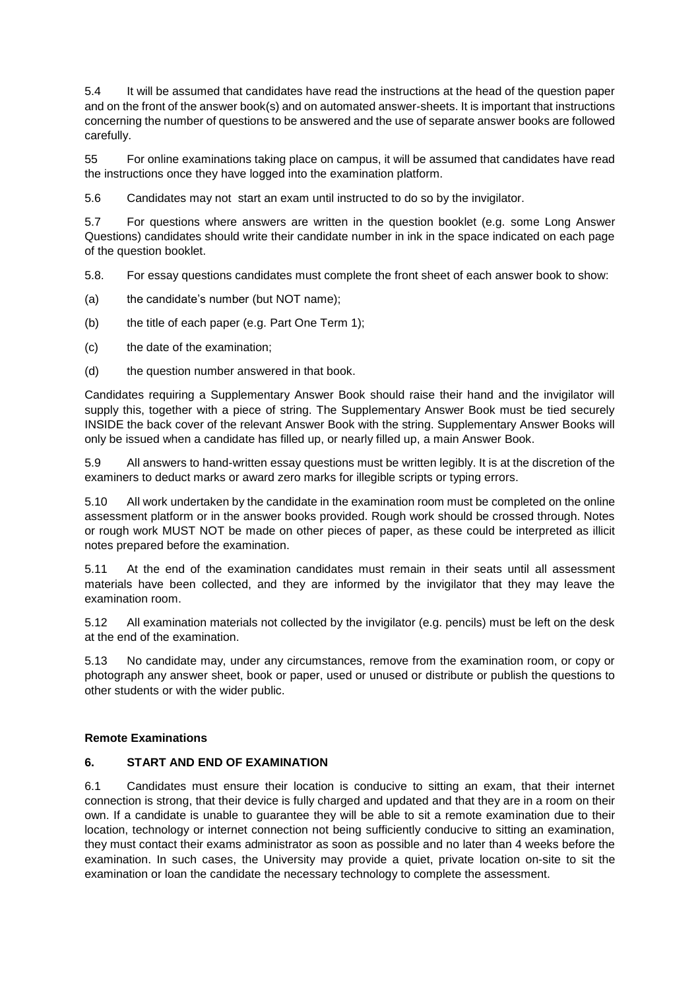5.4 It will be assumed that candidates have read the instructions at the head of the question paper and on the front of the answer book(s) and on automated answer-sheets. It is important that instructions concerning the number of questions to be answered and the use of separate answer books are followed carefully.

55 For online examinations taking place on campus, it will be assumed that candidates have read the instructions once they have logged into the examination platform.

5.6 Candidates may not start an exam until instructed to do so by the invigilator.

5.7 For questions where answers are written in the question booklet (e.g. some Long Answer Questions) candidates should write their candidate number in ink in the space indicated on each page of the question booklet.

5.8. For essay questions candidates must complete the front sheet of each answer book to show:

- (a) the candidate's number (but NOT name);
- (b) the title of each paper (e.g. Part One Term 1);
- (c) the date of the examination;
- (d) the question number answered in that book.

Candidates requiring a Supplementary Answer Book should raise their hand and the invigilator will supply this, together with a piece of string. The Supplementary Answer Book must be tied securely INSIDE the back cover of the relevant Answer Book with the string. Supplementary Answer Books will only be issued when a candidate has filled up, or nearly filled up, a main Answer Book.

5.9 All answers to hand-written essay questions must be written legibly. It is at the discretion of the examiners to deduct marks or award zero marks for illegible scripts or typing errors.

5.10 All work undertaken by the candidate in the examination room must be completed on the online assessment platform or in the answer books provided. Rough work should be crossed through. Notes or rough work MUST NOT be made on other pieces of paper, as these could be interpreted as illicit notes prepared before the examination.

5.11 At the end of the examination candidates must remain in their seats until all assessment materials have been collected, and they are informed by the invigilator that they may leave the examination room.

5.12 All examination materials not collected by the invigilator (e.g. pencils) must be left on the desk at the end of the examination.

5.13 No candidate may, under any circumstances, remove from the examination room, or copy or photograph any answer sheet, book or paper, used or unused or distribute or publish the questions to other students or with the wider public.

#### **Remote Examinations**

#### **6. START AND END OF EXAMINATION**

6.1 Candidates must ensure their location is conducive to sitting an exam, that their internet connection is strong, that their device is fully charged and updated and that they are in a room on their own. If a candidate is unable to guarantee they will be able to sit a remote examination due to their location, technology or internet connection not being sufficiently conducive to sitting an examination, they must contact their exams administrator as soon as possible and no later than 4 weeks before the examination. In such cases, the University may provide a quiet, private location on-site to sit the examination or loan the candidate the necessary technology to complete the assessment.